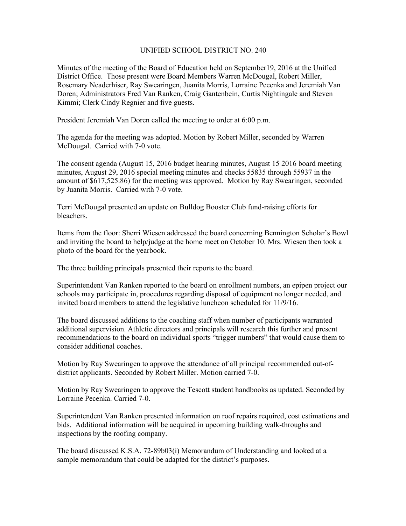## UNIFIED SCHOOL DISTRICT NO. 240

Minutes of the meeting of the Board of Education held on September19, 2016 at the Unified District Office. Those present were Board Members Warren McDougal, Robert Miller, Rosemary Neaderhiser, Ray Swearingen, Juanita Morris, Lorraine Pecenka and Jeremiah Van Doren; Administrators Fred Van Ranken, Craig Gantenbein, Curtis Nightingale and Steven Kimmi; Clerk Cindy Regnier and five guests.

President Jeremiah Van Doren called the meeting to order at 6:00 p.m.

The agenda for the meeting was adopted. Motion by Robert Miller, seconded by Warren McDougal. Carried with 7-0 vote.

The consent agenda (August 15, 2016 budget hearing minutes, August 15 2016 board meeting minutes, August 29, 2016 special meeting minutes and checks 55835 through 55937 in the amount of \$617,525.86) for the meeting was approved. Motion by Ray Swearingen, seconded by Juanita Morris. Carried with 7-0 vote.

Terri McDougal presented an update on Bulldog Booster Club fund-raising efforts for bleachers.

Items from the floor: Sherri Wiesen addressed the board concerning Bennington Scholar's Bowl and inviting the board to help/judge at the home meet on October 10. Mrs. Wiesen then took a photo of the board for the yearbook.

The three building principals presented their reports to the board.

Superintendent Van Ranken reported to the board on enrollment numbers, an epipen project our schools may participate in, procedures regarding disposal of equipment no longer needed, and invited board members to attend the legislative luncheon scheduled for 11/9/16.

The board discussed additions to the coaching staff when number of participants warranted additional supervision. Athletic directors and principals will research this further and present recommendations to the board on individual sports "trigger numbers" that would cause them to consider additional coaches.

Motion by Ray Swearingen to approve the attendance of all principal recommended out-ofdistrict applicants. Seconded by Robert Miller. Motion carried 7-0.

Motion by Ray Swearingen to approve the Tescott student handbooks as updated. Seconded by Lorraine Pecenka. Carried 7-0.

Superintendent Van Ranken presented information on roof repairs required, cost estimations and bids. Additional information will be acquired in upcoming building walk-throughs and inspections by the roofing company.

The board discussed K.S.A. 72-89b03(i) Memorandum of Understanding and looked at a sample memorandum that could be adapted for the district's purposes.